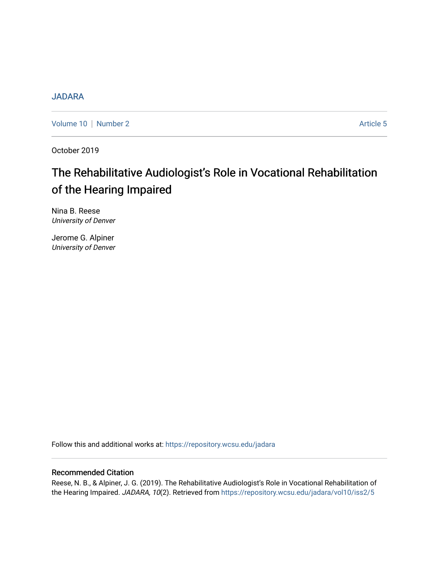# **[JADARA](https://repository.wcsu.edu/jadara)**

[Volume 10](https://repository.wcsu.edu/jadara/vol10) | [Number 2](https://repository.wcsu.edu/jadara/vol10/iss2) Article 5

October 2019

# The Rehabilitative Audiologist's Role in Vocational Rehabilitation of the Hearing Impaired

Nina B. Reese University of Denver

Jerome G. Alpiner University of Denver

Follow this and additional works at: [https://repository.wcsu.edu/jadara](https://repository.wcsu.edu/jadara?utm_source=repository.wcsu.edu%2Fjadara%2Fvol10%2Fiss2%2F5&utm_medium=PDF&utm_campaign=PDFCoverPages)

# Recommended Citation

Reese, N. B., & Alpiner, J. G. (2019). The Rehabilitative Audiologist's Role in Vocational Rehabilitation of the Hearing Impaired. JADARA, 10(2). Retrieved from [https://repository.wcsu.edu/jadara/vol10/iss2/5](https://repository.wcsu.edu/jadara/vol10/iss2/5?utm_source=repository.wcsu.edu%2Fjadara%2Fvol10%2Fiss2%2F5&utm_medium=PDF&utm_campaign=PDFCoverPages)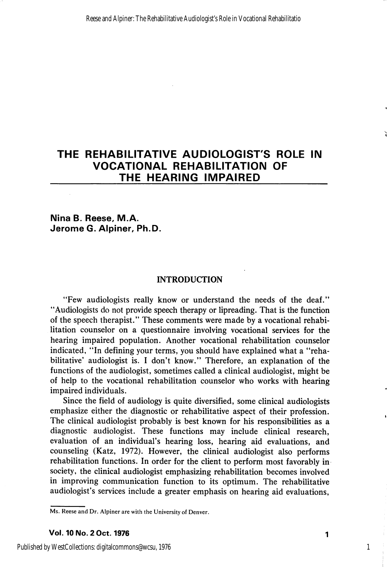# THE REHABILITATIVE AUDIOLOGIST'S ROLE IN VOCATIONAL REHABILITATION OF THE HEARING IMPAIRED

Nina B. Reese, M.A. Jerome G. Alpiner, Ph.D.

# INTRODUCTION

"Few audiologists really know or understand the needs of the deaf." "Audiologists do not provide speech therapy or lipreading. That is the function of the speech therapist." These comments were made by a vocational rehabi litation counselor on a questionnaire involving vocational services for the hearing impaired population. Another vocational rehabilitation counselor indicated, "In defining your terms, you should have explained what a "reha bilitative' audiologist is. I don't know." Therefore, an explanation of the functions of the audiologist, sometimes called a clinical audiologist, might be of help to the vocational rehabilitation counselor who works with hearing impaired individuals.

Since the field of audiology is quite diversified, some clinical audiologists emphasize either the diagnostic or rehabilitative aspect of their profession. The clinical audiologist probably is best known for his responsibilities as a diagnostic audiologist. These functions may include clinical research, evaluation of an individual's hearing loss, hearing aid evaluations, and counseling (Katz, 1972). However, the clinical audiologist also performs rehabilitation functions. In order for the client to perform most favorably in society, the clinical audiologist emphasizing rehabilitation becomes involved in improving communication function to its optimum. The rehabilitative audiologist's services include a greater emphasis on hearing aid evaluations.

1

Ms. Reese and Dr. Alpiner are with the University of Denver.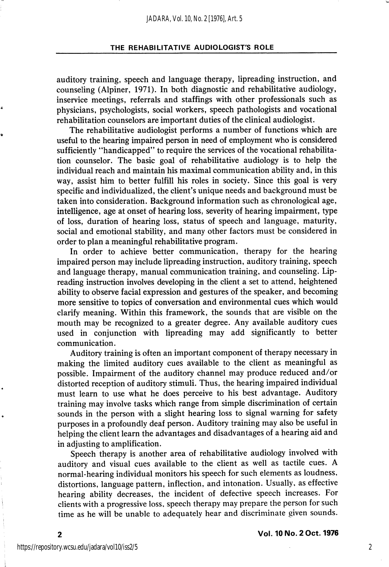auditory training, speech and language therapy, lipreading instruction, and counseling (Alpiner, 1971). In both diagnostic and rehabilitative audiology, inservice meetings, referrals and staffings with other professionals such as physicians, psychologists, social workers, speech pathologists and vocational rehabilitation counselors are important duties of the clinical audiologist.

The rehabilitative audiologist performs a number of functions which are useful to the hearing impaired person in need of employment who is considered sufficiently "handicapped" to require the services of the vocational rehabilita tion counselor. The basic goal of rehabilitative audiology is to help the individual reach and maintain his maximal communication ability and, in this way, assist him to better fulfill his roles in society. Since this goal is very specific and individualized, the client's unique needs and background must be taken into consideration. Background information such as chronological age, intelligence, age at onset of hearing loss, severity of hearing impairment, type of loss, duration of hearing loss, status of speech and language, maturity, social and emotional stability, and many other factors must be considered in order to plan a meaningful rehabilitative program.

In order to achieve better communication, therapy for the hearing impaired person may include lipreading instruction, auditory training, speech and language therapy, manual communication training, and counseling. Lipreading instruction involves developing in the client a set to attend, heightened ability to observe facial expression and gestures of the speaker, and becoming more sensitive to topics of conversation and environmental cues which would clarify meaning. Within this framework, the sounds that are visible on the mouth may be recognized to a greater degree. Any available auditory cues used in conjunction with lipreading may add significantly to better communication.

Auditory training is often an important component of therapy necessary in making the limited auditory cues available to the client as meaningful as possible. Impairment of the auditory channel may produce reduced and/or distorted reception of auditory stimuli. Thus, the hearing impaired individual must learn to use what he does perceive to his best advantage. Auditory training may involve tasks which range from simple discrimination of certain sounds in the person with a slight hearing loss to signal warning for safety purposes in a profoundly deaf person. Auditory training may also be useful in helping the client learn the advantages and disadvantages of a hearing aid and in adjusting to amplification.

Speech therapy is another area of rehabilitative audiology involved with auditory and visual cues available to the client as well as tactile cues. A normal-hearing individual monitors his speech for such elements as loudness, distortions, language pattern, inflection, and intonation. Usually, as effective hearing ability decreases, the incident of defective speech increases. For clients with a progressive loss, speech therapy may prepare the person for such time as he will be unable to adequately hear and discriminate given sounds.

Vol. 10 No. 2 Oct. 1976

 $\overline{2}$ 

2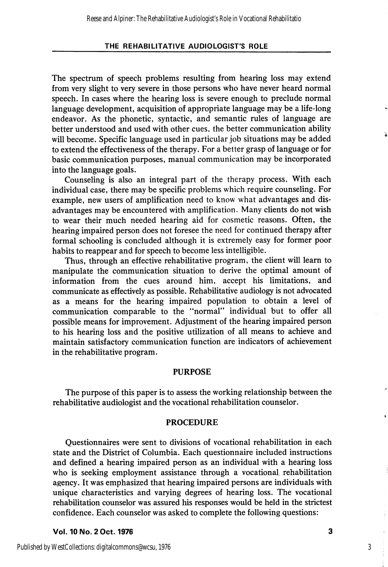The spectrum of speech problems resulting from hearing loss may extend from very slight to very severe in those persons who have never heard normal speech. In cases where the hearing loss is severe enough to preclude normal language development, acquisition of appropriate language may be a life-long endeavor. As the phonetic, syntactic, and semantic rules of language are better understood and used with other cues, the better communication ability will become. Specific language used in particular job situations may be added to extend the effectiveness of the therapy. For a better grasp of language or for basic communication purposes, manual communication may be incorporated into the language goals.

Counseling is also an integral part of the therapy process. With each individual case, there may be specific problems which require counseling. For example, new users of amplification need to know what advantages and dis advantages may be encountered with amplification. Many clients do not wish to wear their much needed hearing aid for cosmetic reasons. Often, the hearing impaired person does not foresee the need for continued therapy after formal schooling is concluded although it is extremely easy for former poor habits to reappear and for speech to become less intelligible.

Thus, through an effective rehabilitative program, the client will learn to manipulate the communication situation to derive the optimal amount of information from the cues around him, accept his limitations, and communicate as effectively as possible. Rehabilitative audiology is not advocated as a means for the hearing impaired population to obtain a level of communication comparable to the "normal" individual but to offer all possible means for improvement. Adjustment of the hearing impaired person to his hearing loss and the positive utilization of all means to achieve and maintain satisfactory communication function are indicators of achievement in the rehabilitative program.

#### PURPOSE

The purpose of this paper is to assess the working relationship between the rehabilitative audiologist and the vocational rehabilitation counselor.

# PROCEDURE

Questionnaires were sent to divisions of vocational rehabilitation in each state and the District of Columbia. Each questionnaire included instructions and defined a hearing impaired person as an individual with a hearing loss who is seeking employment assistance through a vocational rehabilitation agency. It was emphasized that hearing impaired persons are individuals with unique characteristics and varying degrees of hearing loss. The vocational rehabilitation counselor was assured his responses would be held in the strictest confidence. Each counselor was asked to complete the following questions:

Vol. 10 No. 2 Oct. 1976 3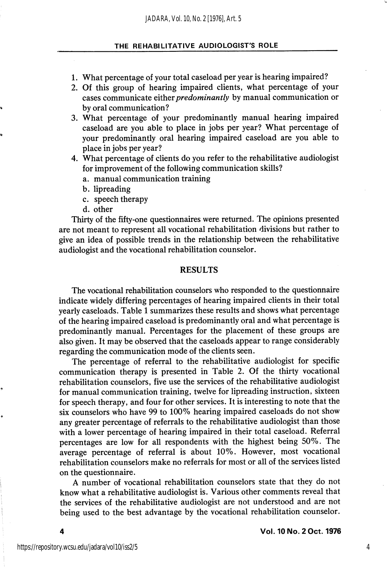- 1. What percentage of your total caseload per year is hearing impaired?
- 2. Of this group of hearing impaired clients, what percentage of your cases communicate either predominantly by manual communication or by oral communication?
- 3. What percentage of your predominantly manual hearing impaired caseload are you able to place in jobs per year? What percentage of your predominantly oral hearing impaired caseload are you able to place in jobs per year?
- 4. What percentage of clients do you refer to the rehabilitative audiologist for improvement of the following communication skills?
	- a. manual communication training
	- b. lipreading
	- c. speech therapy
	- d. other

Thirty of the fifty-one questionnaires were returned. The opinions presented are not meant to represent all vocational rehabilitation divisions but rather to give an idea of possible trends in the relationship between the rehabilitative audiologist and the vocational rehabilitation counselor.

# RESULTS

The vocational rehabilitation counselors who responded to the questionnaire indicate widely differing percentages of hearing impaired clients in their total yearly caseloads. Table 1 summarizes these results and shows what percentage of the hearing impaired caseload is predominantly oral and what percentage is predominantly manual. Percentages for the placement of these groups are also given. It may be observed that the caseloads appear to range considerably regarding the communication mode of the clients seen.

The percentage of referral to the rehabilitative audiologist for specific communication therapy is presented in Table 2. Of the thirty vocational rehabilitation counselors, five use the services of the rehabilitative audiologist for manual communication training, twelve for lipreading instruction, sixteen for speech therapy, and four for other services. It is interesting to note that the six counselors who have 99 to 100% hearing impaired caseloads do not show any greater percentage of referrals to the rehabilitative audiologist than those with a lower percentage of hearing impaired in their total caseload. Referral percentages are low for all respondents with the highest being 50%. The average percentage of referral is about 10%. However, most vocational rehabilitation counselors make no referrals for most or all of the services listed on the questionnaire.

A number of vocational rehabilitation counselors state that they do not know what a rehabilitative audiologist is. Various other comments reveal that the services of the rehabilitative audiologist are not understood and are not being used to the best advantage by the vocational rehabilitation counselor.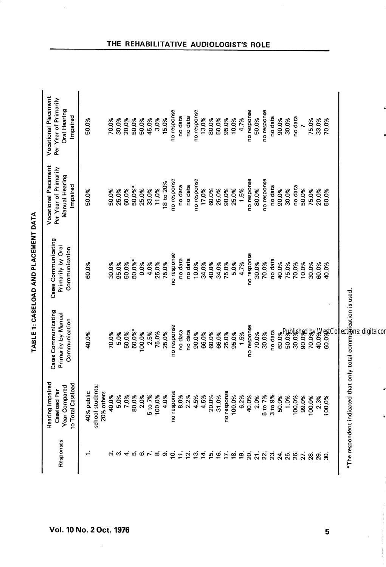| Responses        | Hearing Impaired<br>to Total Caseload<br>Year Compared<br>Caseload Per | Cases Communicating<br>Primarily by Manual<br>Communication | Cases Communicating<br>Primarily by Oral<br>Communication | <b>Vocational Placement</b><br>Per Year of Primarily<br>Manual Hearing<br>Impaired | <b>Vocational Placement</b><br>Per Year of Primarily<br>Oral Hearing<br>Impaired |
|------------------|------------------------------------------------------------------------|-------------------------------------------------------------|-----------------------------------------------------------|------------------------------------------------------------------------------------|----------------------------------------------------------------------------------|
|                  | 40% public                                                             | 40.0%                                                       | 60.0%                                                     | 50.0%                                                                              | 50.0%                                                                            |
|                  | school students;                                                       |                                                             |                                                           |                                                                                    |                                                                                  |
|                  | 20% others                                                             |                                                             |                                                           |                                                                                    |                                                                                  |
|                  | 40.0%                                                                  | 70.0%                                                       | 30.0%                                                     | 50.0%                                                                              | 70.0%                                                                            |
|                  | 5.0%                                                                   | 5.0%                                                        | 95.0%                                                     | 25.0%                                                                              | 30.0%                                                                            |
| $\vec{r}$        | 7.0%                                                                   | 50.0%                                                       | 50.0%                                                     | 60.0%                                                                              | 20.0%                                                                            |
| ம                | 80.0%                                                                  | 50.0%*                                                      | 50.0%*                                                    | 50.0%*                                                                             | 50.0%                                                                            |
| ဖ                | 2.0%                                                                   | 100.0%                                                      | 0.0%                                                      | 25.0%                                                                              | 50.0%                                                                            |
| $\mathbf{r}$     | 5 to 7%                                                                | 2.5%                                                        | 4.0%                                                      | 33.0%                                                                              | 45.0%                                                                            |
| $\infty$         | 100.0%                                                                 | 75.0%                                                       | 25.0%                                                     | 11.0%                                                                              | 3.0%                                                                             |
| တ                | 4.0%                                                                   | 25.0%                                                       | 75.0%                                                     | 18 to 20%                                                                          | 15.0%                                                                            |
| ē.               | no response                                                            | no response                                                 | no response                                               | no response                                                                        | no response                                                                      |
| Ξ                | 8.0%                                                                   | no data                                                     | no data                                                   | no data                                                                            | no data                                                                          |
| $\overline{5}$   | 2.2%                                                                   | no data                                                     | no data                                                   | no data                                                                            | no data                                                                          |
| $\vec{a}$        | 4.5%                                                                   | 90.0%                                                       | 10.0%                                                     | no response                                                                        | no response                                                                      |
| Ξ.               | 4.5%                                                                   | 66.0%                                                       | 34.0%                                                     | 17.0%                                                                              | 13.0%                                                                            |
| $\overline{5}$   | 20.0%                                                                  | 60.0%                                                       | 40.0%                                                     | 60.0%                                                                              | 80.0%                                                                            |
| $\tilde{e}$      | 31.0%                                                                  | 66.0%                                                       | 34.0%                                                     | 25.0%                                                                              | 50.0%                                                                            |
| E.               | no response                                                            | 25.0%                                                       | 75.0%                                                     | 90.0%                                                                              | 95.0%                                                                            |
| ഇ്               | 100.0%                                                                 | 95.0%                                                       | 5.0%                                                      | 25.0%                                                                              | 10.0%                                                                            |
| ഉ്               | 6.2%                                                                   | 1.5%                                                        | 4.7%                                                      | 1.5%                                                                               | 4.7%                                                                             |
| ຊ່               | 40.0%                                                                  | no response                                                 | no response                                               | no response                                                                        | no response                                                                      |
| $\overline{z}$ . | 2.0%                                                                   | 70.0%                                                       | 30.0%                                                     | 80.0%                                                                              | 50.0%                                                                            |
| 22.              | 5 to 7%                                                                | 30.0%                                                       | 70.0%                                                     | po response                                                                        | no response                                                                      |
| $\tilde{c}$      | 3 to 9%                                                                | no data                                                     | no data                                                   | no data                                                                            | no data                                                                          |
| $\frac{4}{25}$   | 50.0%                                                                  | 60.0%                                                       | 40.0%                                                     | 90.0%                                                                              | 90.0%                                                                            |
|                  | 1.0%                                                                   | 50.0%                                                       | 75.0%                                                     | 30.0%                                                                              | 30.0%                                                                            |
| 26.              | 100.0%                                                                 | 30.0%                                                       | 70.0%                                                     | no data                                                                            | no data                                                                          |
| 27.              | 99.0%                                                                  | 90.0%                                                       | 10.0%                                                     | 50.0%                                                                              | $\ddot{\phantom{0}}$                                                             |
| ಜ                | 00.0%                                                                  | 70.0%                                                       | 30.0%                                                     | 75.0%                                                                              | 75.0%                                                                            |
| <u>ვ</u>         | 2.3%                                                                   | 40.0%                                                       | 60.0%                                                     | 20.0%                                                                              | 33.0%                                                                            |
| ്റ്റ             | $00.0\%$                                                               | 60.0%                                                       | 40.0%                                                     | 50.0%                                                                              | 70.0%                                                                            |

TABLE 1: CASELOAD AND PLACEMENT DATA TABLE 1: CASELOAD AND PLACEMENT DATA

# THE REHABILITATIVE AUDIOLOGIST'S RO

5

\*The respondent indicated that only total communication is used.

ä

\*The respondent indicated that only total communication is used.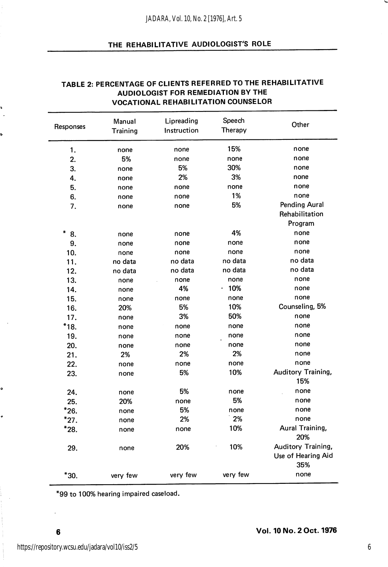| Responses     | Manual<br>Training | Lipreading<br>Instruction | Speech<br>Therapy | Other                                           |  |  |
|---------------|--------------------|---------------------------|-------------------|-------------------------------------------------|--|--|
| 1.            | none               | none                      | 15%               | none                                            |  |  |
| 2.            | 5%                 | none                      | none              | none                                            |  |  |
| 3.            | none               | 5%                        | 30%               | none                                            |  |  |
| 4.            | none               | 2%                        | 3%                | none                                            |  |  |
| 5.            | none               | none                      | none              | none                                            |  |  |
| 6.            | none               | none                      | 1%                | none                                            |  |  |
| 7.            | none               | none                      | 5%                | Pending Aural<br>Rehabilitation                 |  |  |
|               |                    |                           |                   | Program                                         |  |  |
| $\star$<br>8. | none               | none                      | 4%                | none                                            |  |  |
| 9.            | none               | none                      | none              | none                                            |  |  |
| 10.           | none               | none                      | none              | none                                            |  |  |
| 11.           | no data            | no data                   | no data           | no data                                         |  |  |
| 12.           | no data            | no data                   | no data           | no data                                         |  |  |
| 13.           | none               | none                      | none              | none                                            |  |  |
| 14.           | none               | 4%                        | .10%              | none                                            |  |  |
| 15.           | none               | none                      | none              | none                                            |  |  |
| 16.           | 20%                | 5%                        | 10%               | Counseling, 5%                                  |  |  |
| 17.           | none               | 3%                        | 50%               | none                                            |  |  |
| *18.          | none               | none                      | none              | none                                            |  |  |
| 19.           |                    | none                      | none              | none                                            |  |  |
| 20.           | none               | none                      | none              | none                                            |  |  |
| 21.           | none<br>2%         | 2%                        | 2%                | none                                            |  |  |
| 22.           |                    | none                      | none              | none                                            |  |  |
|               | none               | 5%                        | 10%               | Auditory Training,                              |  |  |
| 23.           | none               |                           |                   | 15%                                             |  |  |
| 24.           | none               | 5%                        | none              | none                                            |  |  |
| 25.           | 20%                | none                      | 5%                | none                                            |  |  |
| $*26.$        | none               | 5%                        | none              | none                                            |  |  |
| $*_{27.}$     | none               | 2%                        | 2%                | none                                            |  |  |
| $*28.$        | none               | none                      | 10%               | Aural Training,<br>20%                          |  |  |
| 29.           | none               | 20%                       | 10%               | Auditory Training,<br>Use of Hearing Aid<br>35% |  |  |
| *30.          | very few           | very few                  | very few          | none                                            |  |  |

# TABLE 2: PERCENTAGE OF CLIENTS REFERRED TO THE REHABILITATIVE AUDIOLOGIST FOR REMEDIATION BY THE VOCATIONAL REHABILITATION COUNSELOR

\*99 to 100% hearing impaired caseload.

₿

ó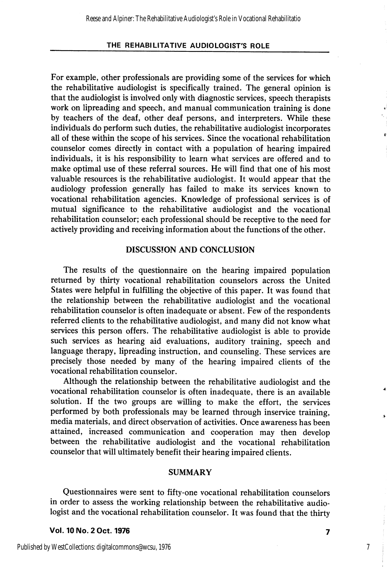For example, other professionals are providing some of the services for which the rehabilitative audiologist is specifically trained. The general opinion is that the audiologist is involved only with diagnostic services, speech therapists work on lipreading and speech, and manual communication training is done by teachers of the deaf, other deaf persons, and interpreters. While these individuals do perform such duties, the rehabilitative audiologist incorporates all of these within the scope of his services. Since the vocational rehabilitation counselor comes directly in contact with a population of hearing impaired individuals, it is his responsibility to learn what services are offered and to make optimal use of these referral sources. He will find that one of his most valuable resources is the rehabilitative audiologist. It would appear that the audiology profession generally has failed to make its services known to vocational rehabilitation agencies. Knowledge of professional services is of mutual significance to the rehabilitative audiologist and the vocational rehabilitation counselor; each professional should be receptive to the need for actively providing and receiving information about the functions of the other.

# DISCUSSION AND CONCLUSION

The results of the questionnaire on the hearing impaired population returned by thirty vocational rehabilitation counselors across the United States were helpful in fulfilling the objective of this paper. It was found that the relationship between the rehabilitative audiologist and the vocational rehabilitation counselor is often inadequate or absent. Few of the respondents referred clients to the rehabilitative audiologist, and many did not know what services this person offers. The rehabilitative audiologist is able to provide such services as hearing aid evaluations, auditory training, speech and language therapy, lipreading instruction, and counseling. These services are precisely those needed by many of the hearing impaired clients of the vocational rehabilitation counselor.

Although the relationship between the rehabilitative audiologist and the vocational rehabilitation counselor is often inadequate, there is an available solution. If the two groups are willing to make the effort, the services performed by both professionals may be learned through inservice training, media materials, and direct observation of activities. Once awareness has been attained, increased communication and cooperation may then develop between the rehabilitative audiologist and the vocational rehabilitation counselor that will ultimately benefit their hearing impaired clients.

#### SUMMARY

Questionnaires were sent to fifty-one vocational rehabilitation counselors in order to assess the working relationship between the rehabilitative audio logist and the vocational rehabilitation counselor. It was found that the thirty

Vol. 10 No. 2 Oct. 1976 7

7